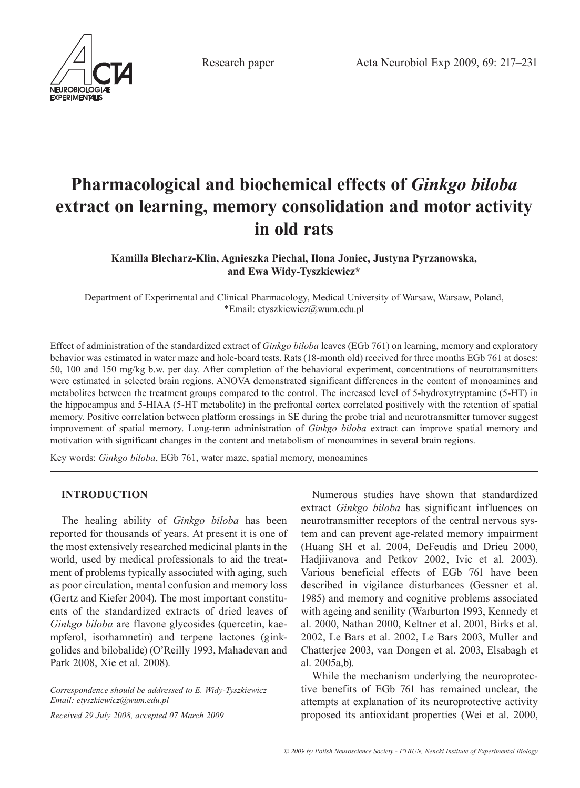

# **Pharmacological and biochemical effects of** *Ginkgo biloba* **extract on learning, memory consolidation and motor activity in old rats**

**Kamilla Blecharz-Klin, Agnieszka Piechal, Ilona Joniec, Justyna Pyrzanowska, and Ewa Widy-Tyszkiewicz\***

Department of Experimental and Clinical Pharmacology, Medical University of Warsaw, Warsaw, Poland, \*Email: etyszkiewicz@wum.edu.pl

Effect of administration of the standardized extract of *Ginkgo biloba* leaves (EGb 761) on learning, memory and exploratory behavior was estimated in water maze and hole-board tests. Rats (18-month old) received for three months EGb 761 at doses: 50, 100 and 150 mg/kg b.w. per day. After completion of the behavioral experiment, concentrations of neurotransmitters were estimated in selected brain regions. ANOVA demonstrated significant differences in the content of monoamines and metabolites between the treatment groups compared to the control. The increased level of 5-hydroxytryptamine (5-HT) in the hippocampus and 5-HIAA (5-HT metabolite) in the prefrontal cortex correlated positively with the retention of spatial memory. Positive correlation between platform crossings in SE during the probe trial and neurotransmitter turnover suggest improvement of spatial memory. Long-term administration of *Ginkgo biloba* extract can improve spatial memory and motivation with significant changes in the content and metabolism of monoamines in several brain regions.

Key words: *Ginkgo biloba*, EGb 761, water maze, spatial memory, monoamines

# **INTRODUCTION**

The healing ability of *Ginkgo biloba* has been reported for thousands of years. At present it is one of the most extensively researched medicinal plants in the world, used by medical professionals to aid the treatment of problems typically associated with aging, such as poor circulation, mental confusion and memory loss (Gertz and Kiefer 2004). The most important constituents of the standardized extracts of dried leaves of *Ginkgo biloba* are flavone glycosides (quercetin, kaempferol, isorhamnetin) and terpene lactones (ginkgolides and bilobalide) (O'Reilly 1993, Mahadevan and Park 2008, Xie et al. 2008).

*Received 29 July 2008, accepted 07 March 2009*

Numerous studies have shown that standardized extract *Ginkgo biloba* has significant influences on neurotransmitter receptors of the central nervous system and can prevent age-related memory impairment (Huang SH et al. 2004, DeFeudis and Drieu 2000, Hadjiivanova and Petkov 2002, Ivic et al. 2003). Various beneficial effects of EGb 761 have been described in vigilance disturbances (Gessner et al. 1985) and memory and cognitive problems associated with ageing and senility (Warburton 1993, Kennedy et al. 2000, Nathan 2000, Keltner et al. 2001, Birks et al. 2002, Le Bars et al. 2002, Le Bars 2003, Muller and Chatterjee 2003, van Dongen et al. 2003, Elsabagh et al. 2005a,b).

While the mechanism underlying the neuroprotective benefits of EGb 761 has remained unclear, the attempts at explanation of its neuroprotective activity proposed its antioxidant properties (Wei et al. 2000,

*Correspondence should be addressed to E. Widy-Tyszkiewicz Email: etyszkiewicz@wum.edu.pl*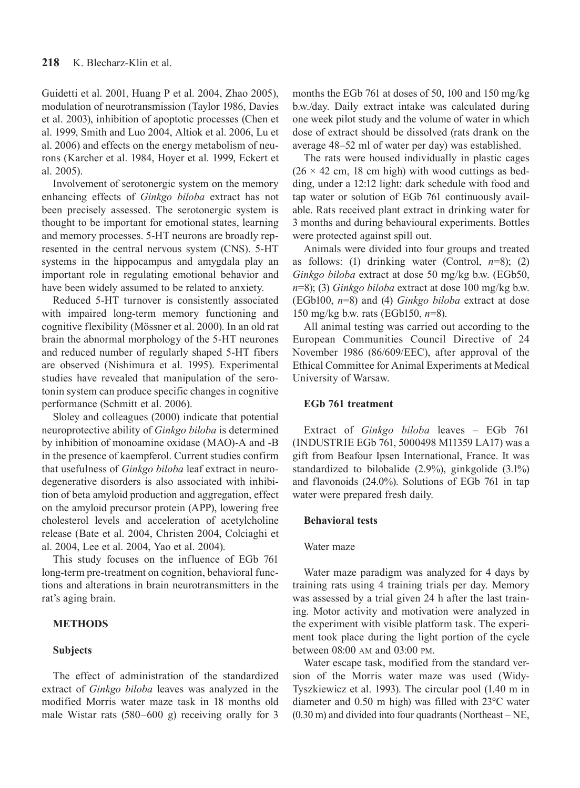Guidetti et al. 2001, Huang P et al. 2004, Zhao 2005), modulation of neurotransmission (Taylor 1986, Davies et al. 2003), inhibition of apoptotic processes (Chen et al. 1999, Smith and Luo 2004, Altiok et al. 2006, Lu et al. 2006) and effects on the energy metabolism of neurons (Karcher et al. 1984, Hoyer et al. 1999, Eckert et al. 2005).

Involvement of serotonergic system on the memory enhancing effects of *Ginkgo biloba* extract has not been precisely assessed. The serotonergic system is thought to be important for emotional states, learning and memory processes. 5-HT neurons are broadly represented in the central nervous system (CNS). 5-HT systems in the hippocampus and amygdala play an important role in regulating emotional behavior and have been widely assumed to be related to anxiety.

Reduced 5-HT turnover is consistently associated with impaired long-term memory functioning and cognitive flexibility (Mössner et al. 2000). In an old rat brain the abnormal morphology of the 5-HT neurones and reduced number of regularly shaped 5-HT fibers are observed (Nishimura et al. 1995). Experimental studies have revealed that manipulation of the serotonin system can produce specific changes in cognitive performance (Schmitt et al. 2006).

Sloley and colleagues (2000) indicate that potential neuroprotective ability of *Ginkgo biloba* is determined by inhibition of monoamine oxidase (MAO)-A and -B in the presence of kaempferol. Current studies confirm that usefulness of *Ginkgo biloba* leaf extract in neurodegenerative disorders is also associated with inhibition of beta amyloid production and aggregation, effect on the amyloid precursor protein (APP), lowering free cholesterol levels and acceleration of acetylcholine release (Bate et al. 2004, Christen 2004, Colciaghi et al. 2004, Lee et al. 2004, Yao et al. 2004).

This study focuses on the influence of EGb 761 long-term pre-treatment on cognition, behavioral functions and alterations in brain neurotransmitters in the rat's aging brain.

# **METHODS**

#### **Subjects**

The effect of administration of the standardized extract of *Ginkgo biloba* leaves was analyzed in the modified Morris water maze task in 18 months old male Wistar rats (580–600 g) receiving orally for 3 months the EGb 761 at doses of 50, 100 and 150 mg/kg b.w./day. Daily extract intake was calculated during one week pilot study and the volume of water in which dose of extract should be dissolved (rats drank on the average 48–52 ml of water per day) was established.

The rats were housed individually in plastic cages  $(26 \times 42 \text{ cm}, 18 \text{ cm high})$  with wood cuttings as bedding, under a 12:12 light: dark schedule with food and tap water or solution of EGb 761 continuously available. Rats received plant extract in drinking water for 3 months and during behavioural experiments. Bottles were protected against spill out.

Animals were divided into four groups and treated as follows: (1) drinking water (Control,  $n=8$ ); (2) *Ginkgo biloba* extract at dose 50 mg/kg b.w. (EGb50, *n*=8); (3) *Ginkgo biloba* extract at dose 100 mg/kg b.w. (EGb100, *n*=8) and (4) *Ginkgo biloba* extract at dose 150 mg/kg b.w. rats (EGb150, *n*=8).

All animal testing was carried out according to the European Communities Council Directive of 24 November 1986 (86/609/EEC), after approval of the Ethical Committee for Animal Experiments at Medical University of Warsaw.

## **EGb 761 treatment**

Extract of *Ginkgo biloba* leaves – EGb 761 (INDUSTRIE EGb 761, 5000498 M11359 LA17) was a gift from Beafour Ipsen International, France. It was standardized to bilobalide (2.9%), ginkgolide (3.1%) and flavonoids (24.0%). Solutions of EGb 761 in tap water were prepared fresh daily.

# **Behavioral tests**

#### Water maze

Water maze paradigm was analyzed for 4 days by training rats using 4 training trials per day. Memory was assessed by a trial given 24 h after the last training. Motor activity and motivation were analyzed in the experiment with visible platform task. The experiment took place during the light portion of the cycle between 08:00 AM and 03:00 PM.

Water escape task, modified from the standard version of the Morris water maze was used (Widy-Tyszkiewicz et al. 1993). The circular pool (1.40 m in diameter and 0.50 m high) was filled with 23°C water (0.30 m) and divided into four quadrants (Northeast – NE,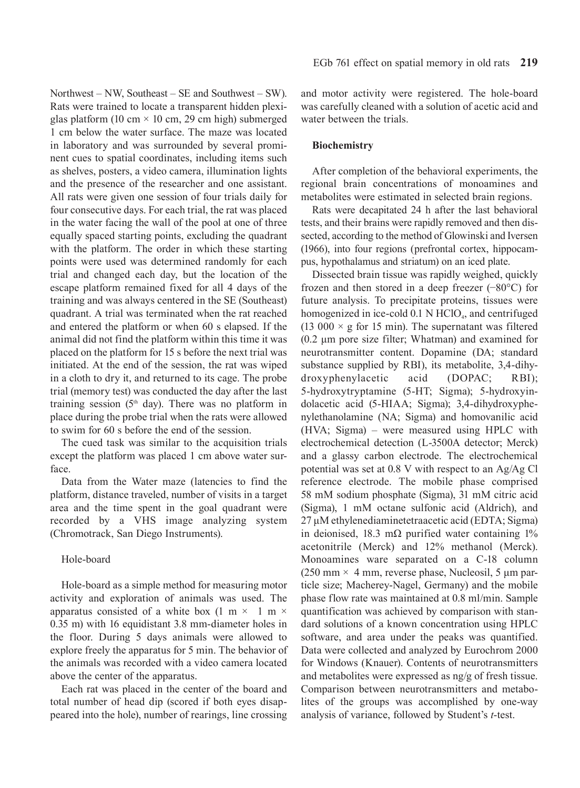Northwest – NW, Southeast – SE and Southwest – SW). Rats were trained to locate a transparent hidden plexiglas platform (10 cm  $\times$  10 cm, 29 cm high) submerged 1 cm below the water surface. The maze was located in laboratory and was surrounded by several prominent cues to spatial coordinates, including items such as shelves, posters, a video camera, illumination lights and the presence of the researcher and one assistant. All rats were given one session of four trials daily for four consecutive days. For each trial, the rat was placed in the water facing the wall of the pool at one of three equally spaced starting points, excluding the quadrant with the platform. The order in which these starting points were used was determined randomly for each trial and changed each day, but the location of the escape platform remained fixed for all 4 days of the training and was always centered in the SE (Southeast) quadrant. A trial was terminated when the rat reached and entered the platform or when 60 s elapsed. If the animal did not find the platform within this time it was placed on the platform for 15 s before the next trial was initiated. At the end of the session, the rat was wiped in a cloth to dry it, and returned to its cage. The probe trial (memory test) was conducted the day after the last training session  $(5<sup>th</sup>$  day). There was no platform in place during the probe trial when the rats were allowed to swim for 60 s before the end of the session.

The cued task was similar to the acquisition trials except the platform was placed 1 cm above water surface.

Data from the Water maze (latencies to find the platform, distance traveled, number of visits in a target area and the time spent in the goal quadrant were recorded by a VHS image analyzing system (Chromotrack, San Diego Instruments).

#### Hole-board

Hole-board as a simple method for measuring motor activity and exploration of animals was used. The apparatus consisted of a white box  $(1 \text{ m} \times 1 \text{ m} \times$ 0.35 m) with 16 equidistant 3.8 mm-diameter holes in the floor. During 5 days animals were allowed to explore freely the apparatus for 5 min. The behavior of the animals was recorded with a video camera located above the center of the apparatus.

Each rat was placed in the center of the board and total number of head dip (scored if both eyes disappeared into the hole), number of rearings, line crossing and motor activity were registered. The hole-board was carefully cleaned with a solution of acetic acid and water between the trials.

#### **Biochemistry**

After completion of the behavioral experiments, the regional brain concentrations of monoamines and metabolites were estimated in selected brain regions.

Rats were decapitated 24 h after the last behavioral tests, and their brains were rapidly removed and then dissected, according to the method of Glowinski and Iversen (1966), into four regions (prefrontal cortex, hippocampus, hypothalamus and striatum) on an iced plate.

Dissected brain tissue was rapidly weighed, quickly frozen and then stored in a deep freezer (−80°C) for future analysis. To precipitate proteins, tissues were homogenized in ice-cold  $0.1$  N HClO<sub>4</sub>, and centrifuged (13 000  $\times$  g for 15 min). The supernatant was filtered (0.2 μm pore size filter; Whatman) and examined for neurotransmitter content. Dopamine (DA; standard substance supplied by RBI), its metabolite, 3,4-dihydroxyphenylacetic acid (DOPAC; RBI); 5-hydroxytryptamine (5-HT; Sigma); 5-hydroxyindolacetic acid (5-HIAA; Sigma); 3,4-dihydroxyphenylethanolamine (NA; Sigma) and homovanilic acid (HVA; Sigma) – were measured using HPLC with electrochemical detection (L-3500A detector; Merck) and a glassy carbon electrode. The electrochemical potential was set at 0.8 V with respect to an Ag/Ag Cl reference electrode. The mobile phase comprised 58 mM sodium phosphate (Sigma), 31 mM citric acid (Sigma), 1 mM octane sulfonic acid (Aldrich), and 27 μM ethylenediaminetetraacetic acid (EDTA; Sigma) in deionised, 18.3 m $\Omega$  purified water containing 1% acetonitrile (Merck) and 12% methanol (Merck). Monoamines ware separated on a C-18 column (250 mm  $\times$  4 mm, reverse phase, Nucleosil, 5 µm particle size; Macherey-Nagel, Germany) and the mobile phase flow rate was maintained at 0.8 ml/min. Sample quantification was achieved by comparison with standard solutions of a known concentration using HPLC software, and area under the peaks was quantified. Data were collected and analyzed by Eurochrom 2000 for Windows (Knauer). Contents of neurotransmitters and metabolites were expressed as ng/g of fresh tissue. Comparison between neurotransmitters and metabolites of the groups was accomplished by one-way analysis of variance, followed by Student's *t*-test.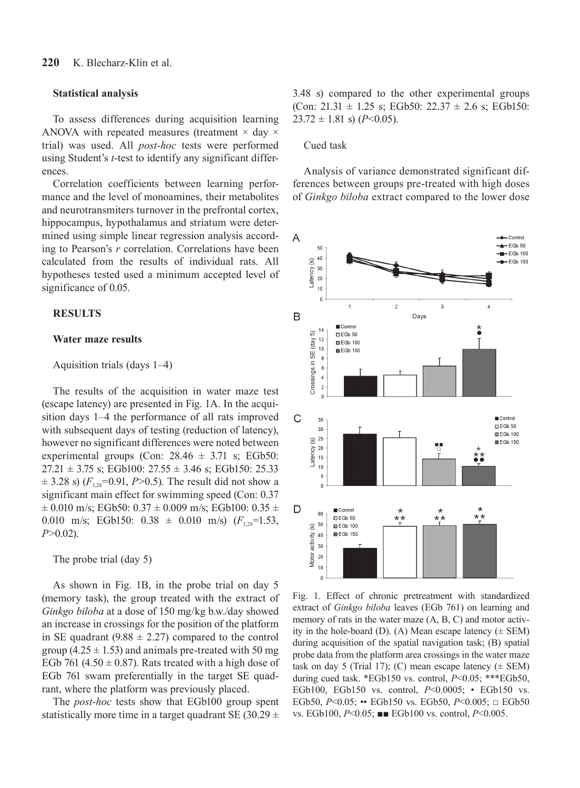#### **Statistical analysis**

To assess differences during acquisition learning ANOVA with repeated measures (treatment  $\times$  day  $\times$ trial) was used. All *post-hoc* tests were performed using Student's *t*-test to identify any significant differences.

Correlation coefficients between learning performance and the level of monoamines, their metabolites and neurotransmiters turnover in the prefrontal cortex, hippocampus, hypothalamus and striatum were determined using simple linear regression analysis according to Pearson's *r* correlation. Correlations have been calculated from the results of individual rats. All hypotheses tested used a minimum accepted level of significance of 0.05.

## **RESULTS**

#### **Water maze results**

# Aquisition trials (days 1–4)

The results of the acquisition in water maze test (escape latency) are presented in Fig. 1A. In the acquisition days 1–4 the performance of all rats improved with subsequent days of testing (reduction of latency), however no significant differences were noted between experimental groups (Con:  $28.46 \pm 3.71$  s; EGb50:  $27.21 \pm 3.75$  s; EGb100:  $27.55 \pm 3.46$  s; EGb150: 25.33  $\pm$  3.28 s) ( $F_{3,28}$ =0.91, *P*>0.5). The result did not show a significant main effect for swimming speed (Con: 0.37  $\pm$  0.010 m/s; EGb50: 0.37  $\pm$  0.009 m/s; EGb100: 0.35  $\pm$ 0.010 m/s; EGb150:  $0.38 \pm 0.010$  m/s)  $(F_{3.28} = 1.53)$ *P*>0.02).

The probe trial (day 5)

As shown in Fig. 1B, in the probe trial on day 5 (memory task), the group treated with the extract of *Ginkgo biloba* at a dose of 150 mg/kg b.w./day showed an increase in crossings for the position of the platform in SE quadrant (9.88  $\pm$  2.27) compared to the control group  $(4.25 \pm 1.53)$  and animals pre-treated with 50 mg EGb 761 (4.50  $\pm$  0.87). Rats treated with a high dose of EGb 761 swam preferentially in the target SE quadrant, where the platform was previously placed.

The *post-hoc* tests show that EGb100 group spent statistically more time in a target quadrant SE (30.29  $\pm$  3.48 s) compared to the other experimental groups (Con:  $21.31 \pm 1.25$  s; EGb50:  $22.37 \pm 2.6$  s; EGb150:  $23.72 \pm 1.81$  s) (*P*<0.05).

#### Cued task

Analysis of variance demonstrated significant differences between groups pre-treated with high doses of *Ginkgo biloba* extract compared to the lower dose



Fig. 1. Effect of chronic pretreatment with standardized extract of *Ginkgo biloba* leaves (EGb 761) on learning and memory of rats in the water maze (A, B, C) and motor activity in the hole-board (D). (A) Mean escape latency  $(\pm$  SEM) during acquisition of the spatial navigation task; (B) spatial probe data from the platform area crossings in the water maze task on day 5 (Trial 17); (C) mean escape latency  $(\pm$  SEM) during cued task. \*EGb150 vs. control, *P*<0.05; \*\*\*EGb50, EGb100, EGb150 vs. control, *P*<0.0005; • EGb150 vs. EGb50, *P*<0.05; •• EGb150 vs. EGb50, *P*<0.005; □ EGb50 vs. EGb100, *P*<0.05; ■■ EGb100 vs. control, *P*<0.005.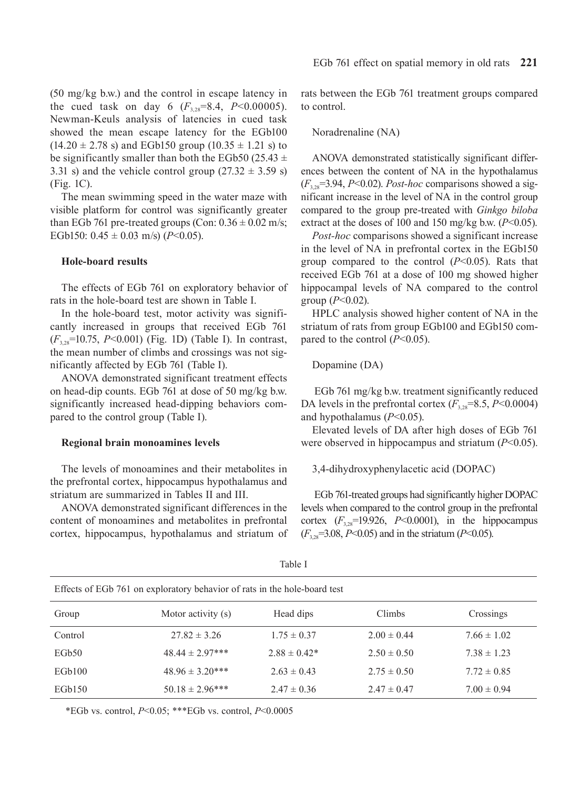(50 mg/kg b.w.) and the control in escape latency in the cued task on day 6  $(F_{3,28}=8.4, P<0.00005)$ . Newman-Keuls analysis of latencies in cued task showed the mean escape latency for the EGb100  $(14.20 \pm 2.78 \text{ s})$  and EGb150 group  $(10.35 \pm 1.21 \text{ s})$  to be significantly smaller than both the EGb50 (25.43  $\pm$ 3.31 s) and the vehicle control group  $(27.32 \pm 3.59 \text{ s})$ (Fig. 1C).

The mean swimming speed in the water maze with visible platform for control was significantly greater than EGb 761 pre-treated groups (Con:  $0.36 \pm 0.02$  m/s; EGb150:  $0.45 \pm 0.03$  m/s) (*P*<0.05).

# **Hole-board results**

The effects of EGb 761 on exploratory behavior of rats in the hole-board test are shown in Table I.

In the hole-board test, motor activity was significantly increased in groups that received EGb 761 (*F*3,28=10.75, *P*<0.001) (Fig. 1D) (Table I). In contrast, the mean number of climbs and crossings was not significantly affected by EGb 761 (Table I).

ANOVA demonstrated significant treatment effects on head-dip counts. EGb 761 at dose of 50 mg/kg b.w. significantly increased head-dipping behaviors compared to the control group (Table I).

#### **Regional brain monoamines levels**

The levels of monoamines and their metabolites in the prefrontal cortex, hippocampus hypothalamus and striatum are summarized in Tables II and III.

ANOVA demonstrated significant differences in the content of monoamines and metabolites in prefrontal cortex, hippocampus, hypothalamus and striatum of rats between the EGb 761 treatment groups compared to control.

#### Noradrenaline (NA)

ANOVA demonstrated statistically significant differences between the content of NA in the hypothalamus  $(F_{3,28}=3.94, P<0.02)$ . *Post-hoc* comparisons showed a significant increase in the level of NA in the control group compared to the group pre-treated with *Ginkgo biloba* extract at the doses of 100 and 150 mg/kg b.w.  $(P<0.05)$ .

*Post-hoc* comparisons showed a significant increase in the level of NA in prefrontal cortex in the EGb150 group compared to the control (*P*<0.05). Rats that received EGb 761 at a dose of 100 mg showed higher hippocampal levels of NA compared to the control group (*P*<0.02).

HPLC analysis showed higher content of NA in the striatum of rats from group EGb100 and EGb150 compared to the control (*P*<0.05).

#### Dopamine (DA)

 EGb 761 mg/kg b.w. treatment significantly reduced DA levels in the prefrontal cortex  $(F_{3,28}=8.5, P<0.0004)$ and hypothalamus (*P*<0.05).

Elevated levels of DA after high doses of EGb 761 were observed in hippocampus and striatum (*P*<0.05).

#### 3,4-dihydroxyphenylacetic acid (DOPAC)

EGb 761-treated groups had significantly higher DOPAC levels when compared to the control group in the prefrontal cortex  $(F_{3,28}=19.926, P<0.0001)$ , in the hippocampus (*F*3,28=3.08, *P*<0.05) and in the striatum (*P*<0.05).

| Effects of EGb 761 on exploratory behavior of rats in the hole-board test |                      |                   |                 |                 |  |
|---------------------------------------------------------------------------|----------------------|-------------------|-----------------|-----------------|--|
| Group                                                                     | Motor activity (s)   | Head dips         | Climbs          | Crossings       |  |
| Control                                                                   | $27.82 \pm 3.26$     | $1.75 \pm 0.37$   | $2.00 \pm 0.44$ | $7.66 \pm 1.02$ |  |
| EGb <sub>50</sub>                                                         | $48.44 \pm 2.97***$  | $2.88 \pm 0.42^*$ | $2.50 \pm 0.50$ | $7.38 \pm 1.23$ |  |
| EGb100                                                                    | $48.96 \pm 3.20$ *** | $2.63 \pm 0.43$   | $2.75 \pm 0.50$ | $7.72 \pm 0.85$ |  |
| EGb150                                                                    | $50.18 \pm 2.96$ *** | $2.47 \pm 0.36$   | $2.47 \pm 0.47$ | $7.00 \pm 0.94$ |  |

Table I

\*EGb vs. control, *P*<0.05; \*\*\*EGb vs. control, *P*<0.0005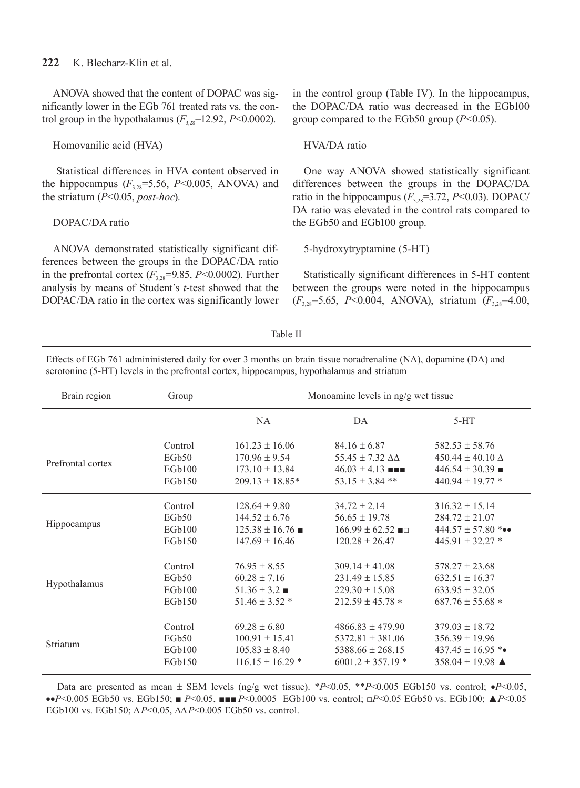ANOVA showed that the content of DOPAC was significantly lower in the EGb 761 treated rats vs. the control group in the hypothalamus  $(F_{3,28}=12.92, P<0.0002)$ .

## Homovanilic acid (HVA)

 Statistical differences in HVA content observed in the hippocampus  $(F_{3,28}=5.56, P<0.005, ANOVA)$  and the striatum (*P*<0.05, *post-hoc*).

## DOPAC/DA ratio

ANOVA demonstrated statistically significant differences between the groups in the DOPAC/DA ratio in the prefrontal cortex  $(F_{3,28}=9.85, P<0.0002)$ . Further analysis by means of Student's *t*-test showed that the DOPAC/DA ratio in the cortex was significantly lower in the control group (Table IV). In the hippocampus, the DOPAC/DA ratio was decreased in the EGb100 group compared to the EGb50 group (*P*<0.05).

## HVA/DA ratio

One way ANOVA showed statistically significant differences between the groups in the DOPAC/DA ratio in the hippocampus  $(F_{3,28}=3.72, P<0.03)$ . DOPAC/ DA ratio was elevated in the control rats compared to the EGb50 and EGb100 group.

#### 5-hydroxytryptamine (5-HT)

Statistically significant differences in 5-HT content between the groups were noted in the hippocampus (*F*3,28=5.65, *P*<0.004, ANOVA), striatum (*F*3,28=4.00,

#### Table II

Effects of EGb 761 admininistered daily for over 3 months on brain tissue noradrenaline (NA), dopamine (DA) and serotonine (5-HT) levels in the prefrontal cortex, hippocampus, hypothalamus and striatum

| Brain region      | Group             | Monoamine levels in ng/g wet tissue |                                 |                                   |  |
|-------------------|-------------------|-------------------------------------|---------------------------------|-----------------------------------|--|
|                   |                   | NA.                                 | DA                              | $5-HT$                            |  |
| Prefrontal cortex | Control           | $161.23 \pm 16.06$                  | $84.16 \pm 6.87$                | $582.53 \pm 58.76$                |  |
|                   | EGb <sub>50</sub> | $170.96 \pm 9.54$                   | 55.45 $\pm$ 7.32 $\Delta\Delta$ | $450.44 \pm 40.10 \Delta$         |  |
|                   | EGb100            | $173.10 \pm 13.84$                  | $46.03 \pm 4.13$ <b>NH</b>      | $446.54 \pm 30.39$ $\blacksquare$ |  |
|                   | EGb150            | $209.13 \pm 18.85*$                 | $53.15 \pm 3.84$ **             | $440.94 \pm 19.77$ *              |  |
| Hippocampus       | Control           | $128.64 \pm 9.80$                   | $34.72 \pm 2.14$                | $316.32 \pm 15.14$                |  |
|                   | EGb50             | $144.52 \pm 6.76$                   | $56.65 \pm 19.78$               | $284.72 \pm 21.07$                |  |
|                   | EGb100            | $125.38 \pm 16.76$                  | $166.99 \pm 62.52$ =            | 444.57 $\pm$ 57.80 ***            |  |
|                   | EGb150            | $147.69 \pm 16.46$                  | $120.28 \pm 26.47$              | $445.91 \pm 32.27$ *              |  |
| Hypothalamus      | Control           | $76.95 \pm 8.55$                    | $309.14 \pm 41.08$              | $578.27 \pm 23.68$                |  |
|                   | EGb <sub>50</sub> | $60.28 \pm 7.16$                    | $231.49 \pm 15.85$              | $632.51 \pm 16.37$                |  |
|                   | EGb100            | $51.36 \pm 3.2$                     | $229.30 \pm 15.08$              | $633.95 \pm 32.05$                |  |
|                   | EGb150            | $51.46 \pm 3.52$ *                  | $212.59 \pm 45.78$ *            | $687.76 \pm 55.68$ *              |  |
| Striatum          | Control           | $69.28 \pm 6.80$                    | $4866.83 \pm 479.90$            | $379.03 \pm 18.72$                |  |
|                   | EGb50             | $100.91 \pm 15.41$                  | $5372.81 \pm 381.06$            | $356.39 \pm 19.96$                |  |
|                   | EGb100            | $105.83 \pm 8.40$                   | $5388.66 \pm 268.15$            | $437.45 \pm 16.95$ **             |  |
|                   | EGb150            | $116.15 \pm 16.29$ *                | $6001.2 \pm 357.19$ *           | 358.04 ± 19.98 $\triangle$        |  |

Data are presented as mean ± SEM levels (ng/g wet tissue). \**P*<0.05, \*\**P*<0.005 EGb150 vs. control; •*P*<0.05, ••*P*<0.005 EGb50 vs. EGb150; ■ *P*<0.05, ■■■ *P*<0.0005 EGb100 vs. control; □*P*<0.05 EGb50 vs. EGb100; ▲*P*<0.05 EGb100 vs. EGb150; ∆*P*<0.05, ∆∆*P*<0.005 EGb50 vs. control.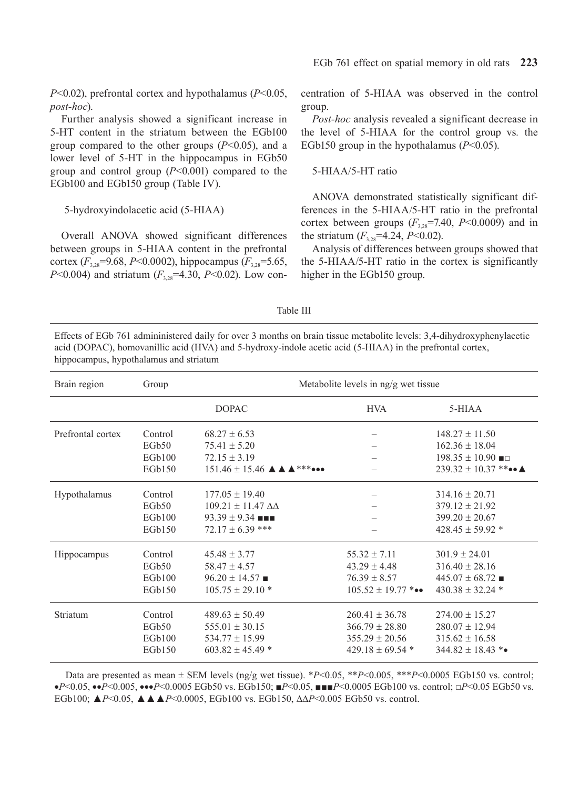*P*<0.02), prefrontal cortex and hypothalamus (*P*<0.05, *post-hoc*).

Further analysis showed a significant increase in 5-HT content in the striatum between the EGb100 group compared to the other groups (*P*<0.05), and a lower level of 5-HT in the hippocampus in EGb50 group and control group (*P*<0.001) compared to the EGb100 and EGb150 group (Table IV).

# 5-hydroxyindolacetic acid (5-HIAA)

Overall ANOVA showed significant differences between groups in 5-HIAA content in the prefrontal cortex (*F*3,28=9.68, *P*<0.0002), hippocampus (*F*3,28=5.65, *P*<0.004) and striatum ( $F_{3.28}$ =4.30, *P*<0.02). Low concentration of 5-HIAA was observed in the control group.

*Post-hoc* analysis revealed a significant decrease in the level of 5-HIAA for the control group vs*.* the EGb150 group in the hypothalamus (*P*<0.05).

#### 5-HIAA/5-HT ratio

ANOVA demonstrated statistically significant differences in the 5-HIAA/5-HT ratio in the prefrontal cortex between groups  $(F_{3,28}=7.40, P<0.0009)$  and in the striatum  $(F_{3,28} = 4.24, P < 0.02)$ .

Analysis of differences between groups showed that the 5-HIAA/5-HT ratio in the cortex is significantly higher in the EGb150 group.

| Table |  |
|-------|--|
|-------|--|

Effects of EGb 761 admininistered daily for over 3 months on brain tissue metabolite levels: 3,4-dihydroxyphenylacetic acid (DOPAC), homovanillic acid (HVA) and 5-hydroxy-indole acetic acid (5-HIAA) in the prefrontal cortex, hippocampus, hypothalamus and striatum

| Brain region      | Group             | Metabolite levels in ng/g wet tissue |                        |                                     |  |
|-------------------|-------------------|--------------------------------------|------------------------|-------------------------------------|--|
|                   |                   | <b>DOPAC</b>                         | <b>HVA</b>             | 5-HIAA                              |  |
| Prefrontal cortex | Control           | $68.27 \pm 6.53$                     |                        | $148.27 \pm 11.50$                  |  |
|                   | EGb50             | $75.41 \pm 5.20$                     |                        | $162.36 \pm 18.04$                  |  |
|                   | EGb100            | $72.15 \pm 3.19$                     |                        | $198.35 \pm 10.90$ $\blacksquare$   |  |
|                   | EGb150            |                                      |                        | $239.32 \pm 10.37$ **•• $\triangle$ |  |
| Hypothalamus      | Control           | $177.05 \pm 19.40$                   |                        | $314.16 \pm 20.71$                  |  |
|                   | EGb <sub>50</sub> | $109.21 \pm 11.47 \Delta\Delta$      |                        | $379.12 \pm 21.92$                  |  |
|                   | EGb100            | $93.39 \pm 9.34$ =                   |                        | $399.20 \pm 20.67$                  |  |
|                   | EGb150            | $72.17 \pm 6.39$ ***                 |                        | $428.45 \pm 59.92$ *                |  |
| Hippocampus       | Control           | $45.48 \pm 3.77$                     | $55.32 \pm 7.11$       | $301.9 \pm 24.01$                   |  |
|                   | EGb50             | $58.47 \pm 4.57$                     | $43.29 \pm 4.48$       | $316.40 \pm 28.16$                  |  |
|                   | EGb100            | $96.20 \pm 14.57$ $\blacksquare$     | $76.39 \pm 8.57$       | $445.07 \pm 68.72$                  |  |
|                   | EGb150            | $105.75 \pm 29.10$ *                 | $105.52 \pm 19.77$ *** | $430.38 \pm 32.24$ *                |  |
| Striatum          | Control           | $489.63 \pm 50.49$                   | $260.41 \pm 36.78$     | $274.00 \pm 15.27$                  |  |
|                   | EGb50             | $555.01 \pm 30.15$                   | $366.79 \pm 28.80$     | $280.07 \pm 12.94$                  |  |
|                   | EGb100            | $534.77 \pm 15.99$                   | $355.29 \pm 20.56$     | $315.62 \pm 16.58$                  |  |
|                   | EGb150            | $603.82 \pm 45.49$ *                 | 429.18 $\pm$ 69.54 $*$ | $344.82 \pm 18.43$ **               |  |

Data are presented as mean  $\pm$  SEM levels (ng/g wet tissue). \**P*<0.05, \*\**P*<0.005, \*\**P*<0.0005 EGb150 vs. control; •*P*<0.05, ••*P*<0.005, •••*P*<0.0005 EGb50 vs. EGb150; ■*P*<0.05, ■■■*P*<0.0005 EGb100 vs. control; □*P*<0.05 EGb50 vs. EGb100; ▲*P*<0.05, ▲▲▲*P*<0.0005, EGb100 vs. EGb150, ∆∆*P*<0.005 EGb50 vs. control.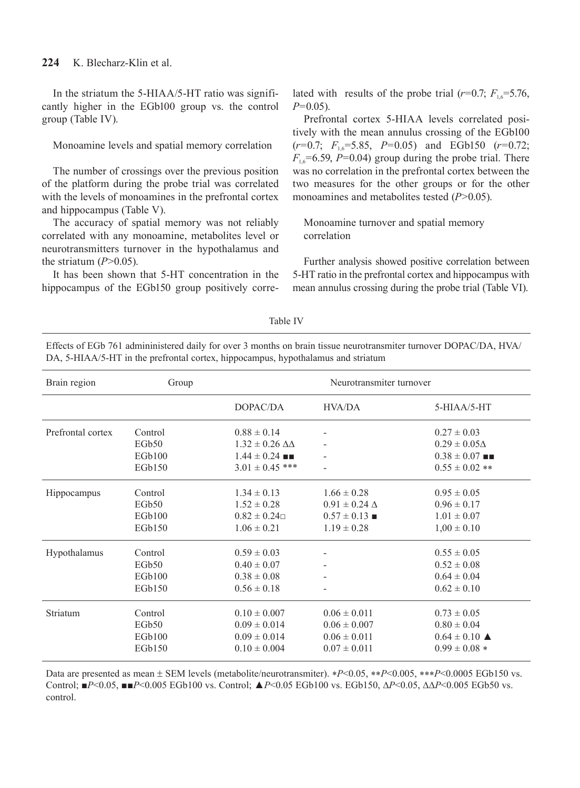# **224** K. Blecharz-Klin et al.

In the striatum the 5-HIAA/5-HT ratio was significantly higher in the EGb100 group vs. the control group (Table IV).

Monoamine levels and spatial memory correlation

The number of crossings over the previous position of the platform during the probe trial was correlated with the levels of monoamines in the prefrontal cortex and hippocampus (Table V).

The accuracy of spatial memory was not reliably correlated with any monoamine, metabolites level or neurotransmitters turnover in the hypothalamus and the striatum  $(P>0.05)$ .

It has been shown that 5-HT concentration in the hippocampus of the EGb150 group positively correlated with results of the probe trial  $(r=0.7; F_{1.6}=5.76)$ , *P*=0.05).

Prefrontal cortex 5-HIAA levels correlated positively with the mean annulus crossing of the EGb100 (*r*=0.7; *F*1,6=5.85, *P*=0.05) and EGb150 (*r*=0.72;  $F_{16}$ =6.59, *P*=0.04) group during the probe trial. There was no correlation in the prefrontal cortex between the two measures for the other groups or for the other monoamines and metabolites tested (*P*>0.05).

Monoamine turnover and spatial memory correlation

Further analysis showed positive correlation between 5-HT ratio in the prefrontal cortex and hippocampus with mean annulus crossing during the probe trial (Table VI).

| I<br>× | ł<br>× |  |
|--------|--------|--|
|        |        |  |

Effects of EGb 761 admininistered daily for over 3 months on brain tissue neurotransmiter turnover DOPAC/DA, HVA/ DA, 5-HIAA/5-HT in the prefrontal cortex, hippocampus, hypothalamus and striatum

| Brain region      | Group             |                              | Neurotransmiter turnover |                                |
|-------------------|-------------------|------------------------------|--------------------------|--------------------------------|
|                   |                   | DOPAC/DA                     | HVA/DA                   | $5-HIAA/5-HT$                  |
| Prefrontal cortex | Control           | $0.88 \pm 0.14$              |                          | $0.27 \pm 0.03$                |
|                   | EGb <sub>50</sub> | $1.32 \pm 0.26 \Delta\Delta$ |                          | $0.29 \pm 0.05\Delta$          |
|                   | EGb100            | $1.44 \pm 0.24$ =            |                          | $0.38 \pm 0.07$ $\blacksquare$ |
|                   | EGb150            | $3.01 \pm 0.45$ ***          |                          | $0.55 \pm 0.02$ **             |
| Hippocampus       | Control           | $1.34 \pm 0.13$              | $1.66 \pm 0.28$          | $0.95 \pm 0.05$                |
|                   | EGb50             | $1.52 \pm 0.28$              | $0.91 \pm 0.24 \Delta$   | $0.96 \pm 0.17$                |
|                   | EGb100            | $0.82 \pm 0.24 \Box$         | $0.57 \pm 0.13$ =        | $1.01 \pm 0.07$                |
|                   | EGb150            | $1.06 \pm 0.21$              | $1.19 \pm 0.28$          | $1,00 \pm 0.10$                |
| Hypothalamus      | Control           | $0.59 \pm 0.03$              |                          | $0.55 \pm 0.05$                |
|                   | EGb <sub>50</sub> | $0.40 \pm 0.07$              |                          | $0.52 \pm 0.08$                |
|                   | EGb100            | $0.38 \pm 0.08$              |                          | $0.64 \pm 0.04$                |
|                   | EGb150            | $0.56 \pm 0.18$              |                          | $0.62 \pm 0.10$                |
| Striatum          | Control           | $0.10 \pm 0.007$             | $0.06 \pm 0.011$         | $0.73 \pm 0.05$                |
|                   | EGb50             | $0.09 \pm 0.014$             | $0.06 \pm 0.007$         | $0.80 \pm 0.04$                |
|                   | EGb100            | $0.09 \pm 0.014$             | $0.06 \pm 0.011$         | $0.64 \pm 0.10$ $\triangle$    |
|                   | EGb150            | $0.10 \pm 0.004$             | $0.07 \pm 0.011$         | $0.99 \pm 0.08$ *              |

Data are presented as mean ± SEM levels (metabolite/neurotransmiter). ∗*P*<0.05, ∗∗*P*<0.005, ∗∗∗*P*<0.0005 EGb150 vs. Control; ■*P*<0.05, ■■*P*<0.005 EGb100 vs. Control; ▲*P*<0.05 EGb100 vs. EGb150, ∆*P*<0.05, ∆∆*P*<0.005 EGb50 vs. control.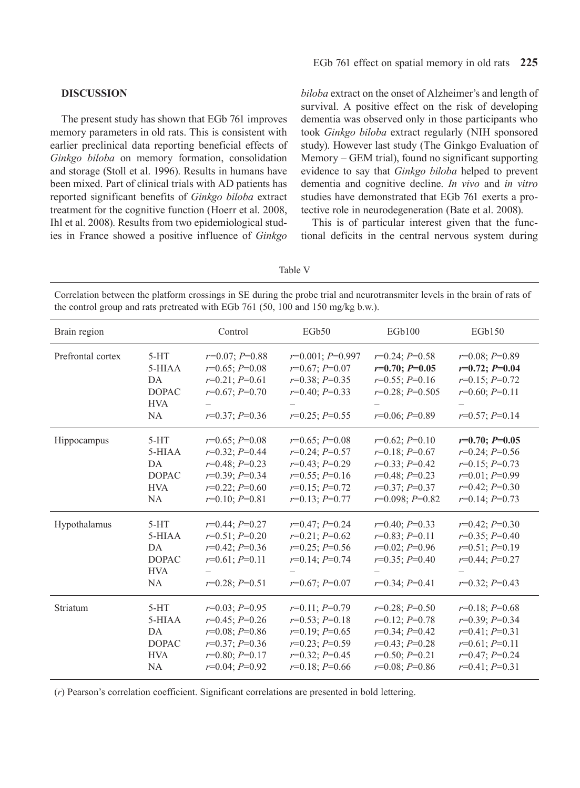#### **DISCUSSION**

The present study has shown that EGb 761 improves memory parameters in old rats. This is consistent with earlier preclinical data reporting beneficial effects of *Ginkgo biloba* on memory formation, consolidation and storage (Stoll et al. 1996). Results in humans have been mixed. Part of clinical trials with AD patients has reported significant benefits of *Ginkgo biloba* extract treatment for the cognitive function (Hoerr et al. 2008, Ihl et al. 2008). Results from two epidemiological studies in France showed a positive influence of *Ginkgo*  *biloba* extract on the onset of Alzheimer's and length of survival. A positive effect on the risk of developing dementia was observed only in those participants who took *Ginkgo biloba* extract regularly (NIH sponsored study). However last study (The Ginkgo Evaluation of Memory – GEM trial), found no significant supporting evidence to say that *Ginkgo biloba* helped to prevent dementia and cognitive decline. *In vivo* and *in vitro* studies have demonstrated that EGb 761 exerts a protective role in neurodegeneration (Bate et al. 2008).

This is of particular interest given that the functional deficits in the central nervous system during

Table V

Correlation between the platform crossings in SE during the probe trial and neurotransmiter levels in the brain of rats of the control group and rats pretreated with EGb 761 (50, 100 and 150 mg/kg b.w.).

| Brain region      |                                                                     | Control                                                                                                              | EGb50                                                                                                                | EGb100                                                                                                                | EGb150                                                                                                               |
|-------------------|---------------------------------------------------------------------|----------------------------------------------------------------------------------------------------------------------|----------------------------------------------------------------------------------------------------------------------|-----------------------------------------------------------------------------------------------------------------------|----------------------------------------------------------------------------------------------------------------------|
| Prefrontal cortex | $5-HT$<br>5-HIAA<br>DA<br><b>DOPAC</b><br><b>HVA</b><br><b>NA</b>   | $r=0.07; P=0.88$<br>$r=0.65; P=0.08$<br>$r=0.21; P=0.61$<br>$r=0.67; P=0.70$<br>$r=0.37; P=0.36$                     | $r=0.001; P=0.997$<br>$r=0.67; P=0.07$<br>$r=0.38; P=0.35$<br>$r=0.40; P=0.33$<br>$r=0.25; P=0.55$                   | $r=0.24; P=0.58$<br>$r=0.70; P=0.05$<br>$r=0.55; P=0.16$<br>$r=0.28; P=0.505$<br>$r=0.06; P=0.89$                     | $r=0.08; P=0.89$<br>$r=0.72; P=0.04$<br>$r=0.15; P=0.72$<br>$r=0.60; P=0.11$<br>$r=0.57; P=0.14$                     |
| Hippocampus       | $5-HT$<br>5-HIAA<br>DA<br><b>DOPAC</b><br><b>HVA</b><br><b>NA</b>   | $r=0.65; P=0.08$<br>$r=0.32; P=0.44$<br>$r=0.48; P=0.23$<br>$r=0.39; P=0.34$<br>$r=0.22; P=0.60$<br>$r=0.10; P=0.81$ | $r=0.65; P=0.08$<br>$r=0.24; P=0.57$<br>$r=0.43; P=0.29$<br>$r=0.55; P=0.16$<br>$r=0.15; P=0.72$<br>$r=0.13; P=0.77$ | $r=0.62; P=0.10$<br>$r=0.18; P=0.67$<br>$r=0.33; P=0.42$<br>$r=0.48; P=0.23$<br>$r=0.37; P=0.37$<br>$r=0.098; P=0.82$ | $r=0.70; P=0.05$<br>$r=0.24; P=0.56$<br>$r=0.15; P=0.73$<br>$r=0.01; P=0.99$<br>$r=0.42; P=0.30$<br>$r=0.14; P=0.73$ |
| Hypothalamus      | $5-HT$<br>5-HIAA<br>DA<br><b>DOPAC</b><br><b>HVA</b><br><b>NA</b>   | $r=0.44; P=0.27$<br>$r=0.51; P=0.20$<br>$r=0.42; P=0.36$<br>$r=0.61; P=0.11$<br>$r=0.28; P=0.51$                     | $r=0.47; P=0.24$<br>$r=0.21; P=0.62$<br>$r=0.25; P=0.56$<br>$r=0.14; P=0.74$<br>$r=0.67; P=0.07$                     | $r=0.40; P=0.33$<br>$r=0.83; P=0.11$<br>$r=0.02; P=0.96$<br>$r=0.35; P=0.40$<br>$r=0.34; P=0.41$                      | $r=0.42; P=0.30$<br>$r=0.35; P=0.40$<br>$r=0.51; P=0.19$<br>$r=0.44; P=0.27$<br>$r=0.32; P=0.43$                     |
| Striatum          | $5-HT$<br>$5-HIAA$<br>DA<br><b>DOPAC</b><br><b>HVA</b><br><b>NA</b> | $r=0.03; P=0.95$<br>$r=0.45; P=0.26$<br>$r=0.08; P=0.86$<br>$r=0.37; P=0.36$<br>$r=0.80; P=0.17$<br>$r=0.04; P=0.92$ | $r=0.11; P=0.79$<br>$r=0.53; P=0.18$<br>$r=0.19; P=0.65$<br>$r=0.23; P=0.59$<br>$r=0.32; P=0.45$<br>$r=0.18; P=0.66$ | $r=0.28; P=0.50$<br>$r=0.12; P=0.78$<br>$r=0.34; P=0.42$<br>$r=0.43; P=0.28$<br>$r=0.50; P=0.21$<br>$r=0.08; P=0.86$  | $r=0.18; P=0.68$<br>$r=0.39; P=0.34$<br>$r=0.41; P=0.31$<br>$r=0.61; P=0.11$<br>$r=0.47; P=0.24$<br>$r=0.41; P=0.31$ |

(*r*) Pearson's correlation coefficient. Significant correlations are presented in bold lettering.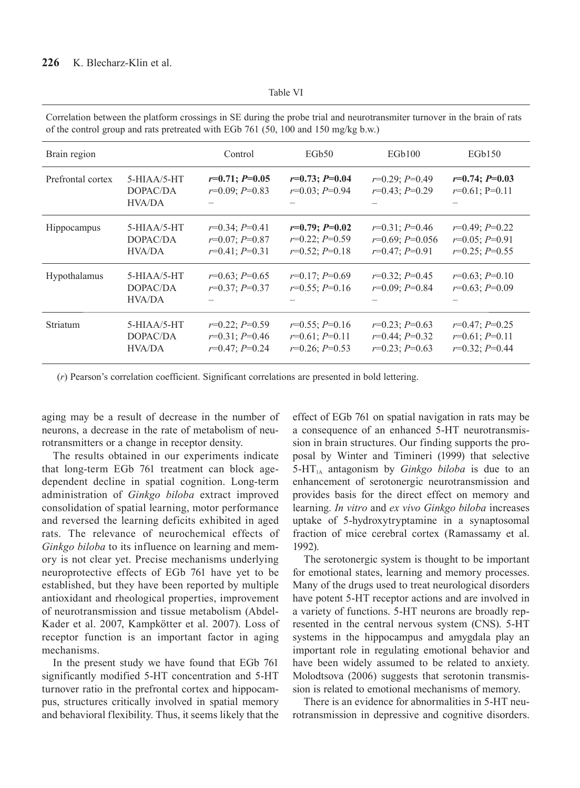| × | × |
|---|---|
|---|---|

Correlation between the platform crossings in SE during the probe trial and neurotransmiter turnover in the brain of rats of the control group and rats pretreated with EGb 761 (50, 100 and 150 mg/kg b.w.)

| Brain region      |                                            | Control                                                  | EGb <sub>50</sub>                                        | EGb100                                                    | EGb150                                                   |
|-------------------|--------------------------------------------|----------------------------------------------------------|----------------------------------------------------------|-----------------------------------------------------------|----------------------------------------------------------|
| Prefrontal cortex | $5-HIAA/5-HT$<br>DOPAC/DA<br>HVA/DA        | $r=0.71; P=0.05$<br>$r=0.09; P=0.83$                     | $r=0.73; P=0.04$<br>$r=0.03; P=0.94$                     | $r=0.29; P=0.49$<br>$r=0.43; P=0.29$                      | $r=0.74; P=0.03$<br>$r=0.61; P=0.11$                     |
| Hippocampus       | $5-HIAA/5-HT$<br>DOPAC/DA<br>HVA/DA        | $r=0.34; P=0.41$<br>$r=0.07; P=0.87$<br>$r=0.41; P=0.31$ | $r=0.79; P=0.02$<br>$r=0.22; P=0.59$<br>$r=0.52; P=0.18$ | $r=0.31; P=0.46$<br>$r=0.69; P=0.056$<br>$r=0.47; P=0.91$ | $r=0.49; P=0.22$<br>$r=0.05; P=0.91$<br>$r=0.25; P=0.55$ |
| Hypothalamus      | $5-HIAA/5-HT$<br>DOPAC/DA<br><b>HVA/DA</b> | $r=0.63; P=0.65$<br>$r=0.37; P=0.37$                     | $r=0.17; P=0.69$<br>$r=0.55; P=0.16$                     | $r=0.32; P=0.45$<br>$r=0.09; P=0.84$                      | $r=0.63; P=0.10$<br>$r=0.63; P=0.09$                     |
| <b>Striatum</b>   | $5-HIAA/5-HT$<br>DOPAC/DA<br><b>HVA/DA</b> | $r=0.22; P=0.59$<br>$r=0.31; P=0.46$<br>$r=0.47; P=0.24$ | $r=0.55; P=0.16$<br>$r=0.61; P=0.11$<br>$r=0.26; P=0.53$ | $r=0.23; P=0.63$<br>$r=0.44; P=0.32$<br>$r=0.23; P=0.63$  | $r=0.47; P=0.25$<br>$r=0.61; P=0.11$<br>$r=0.32; P=0.44$ |

(*r*) Pearson's correlation coefficient. Significant correlations are presented in bold lettering.

aging may be a result of decrease in the number of neurons, a decrease in the rate of metabolism of neurotransmitters or a change in receptor density.

The results obtained in our experiments indicate that long-term EGb 761 treatment can block agedependent decline in spatial cognition. Long-term administration of *Ginkgo biloba* extract improved consolidation of spatial learning, motor performance and reversed the learning deficits exhibited in aged rats. The relevance of neurochemical effects of *Ginkgo biloba* to its influence on learning and memory is not clear yet. Precise mechanisms underlying neuroprotective effects of EGb 761 have yet to be established, but they have been reported by multiple antioxidant and rheological properties, improvement of neurotransmission and tissue metabolism (Abdel-Kader et al. 2007, Kampkötter et al. 2007). Loss of receptor function is an important factor in aging mechanisms.

In the present study we have found that EGb 761 significantly modified 5-HT concentration and 5-HT turnover ratio in the prefrontal cortex and hippocampus, structures critically involved in spatial memory and behavioral flexibility. Thus, it seems likely that the effect of EGb 761 on spatial navigation in rats may be a consequence of an enhanced 5-HT neurotransmission in brain structures. Our finding supports the proposal by Winter and Timineri (1999) that selective  $5-HT<sub>1A</sub>$  antagonism by *Ginkgo biloba* is due to an enhancement of serotonergic neurotransmission and provides basis for the direct effect on memory and learning. *In vitro* and *ex vivo Ginkgo biloba* increases uptake of 5-hydroxytryptamine in a synaptosomal fraction of mice cerebral cortex (Ramassamy et al. 1992).

The serotonergic system is thought to be important for emotional states, learning and memory processes. Many of the drugs used to treat neurological disorders have potent 5-HT receptor actions and are involved in a variety of functions. 5-HT neurons are broadly represented in the central nervous system (CNS). 5-HT systems in the hippocampus and amygdala play an important role in regulating emotional behavior and have been widely assumed to be related to anxiety. Molodtsova (2006) suggests that serotonin transmission is related to emotional mechanisms of memory.

There is an evidence for abnormalities in 5-HT neurotransmission in depressive and cognitive disorders.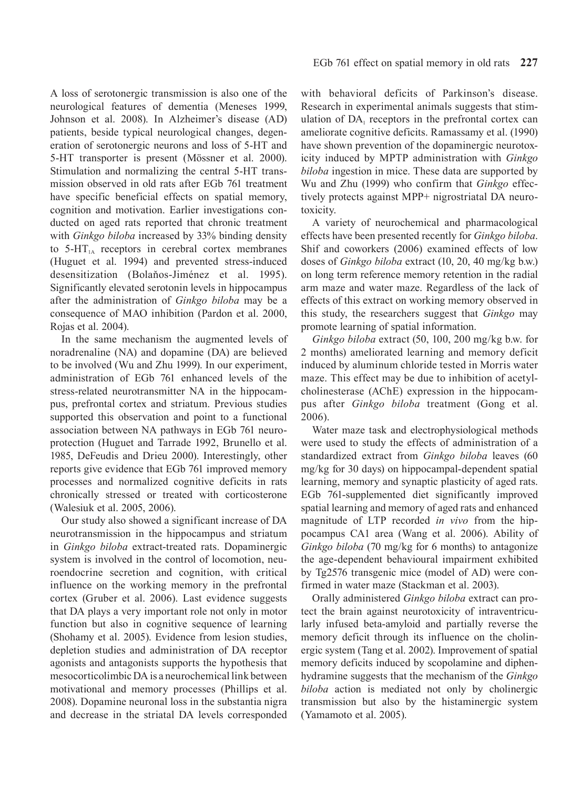A loss of serotonergic transmission is also one of the neurological features of dementia (Meneses 1999, Johnson et al. 2008). In Alzheimer's disease (AD) patients, beside typical neurological changes, degeneration of serotonergic neurons and loss of 5-HT and 5-HT transporter is present (Mössner et al. 2000). Stimulation and normalizing the central 5-HT transmission observed in old rats after EGb 761 treatment have specific beneficial effects on spatial memory, cognition and motivation. Earlier investigations conducted on aged rats reported that chronic treatment with *Ginkgo biloba* increased by 33% binding density to  $5-\text{HT}_{1A}$  receptors in cerebral cortex membranes (Huguet et al. 1994) and prevented stress-induced desensitization (Bolaňos-Jiménez et al. 1995). Significantly elevated serotonin levels in hippocampus after the administration of *Ginkgo biloba* may be a consequence of MAO inhibition (Pardon et al. 2000, Rojas et al. 2004).

In the same mechanism the augmented levels of noradrenaline (NA) and dopamine (DA) are believed to be involved (Wu and Zhu 1999). In our experiment, administration of EGb 761 enhanced levels of the stress-related neurotransmitter NA in the hippocampus, prefrontal cortex and striatum. Previous studies supported this observation and point to a functional association between NA pathways in EGb 761 neuroprotection (Huguet and Tarrade 1992, Brunello et al. 1985, DeFeudis and Drieu 2000). Interestingly, other reports give evidence that EGb 761 improved memory processes and normalized cognitive deficits in rats chronically stressed or treated with corticosterone (Walesiuk et al. 2005, 2006).

Our study also showed a significant increase of DA neurotransmission in the hippocampus and striatum in *Ginkgo biloba* extract-treated rats. Dopaminergic system is involved in the control of locomotion, neuroendocrine secretion and cognition, with critical influence on the working memory in the prefrontal cortex (Gruber et al. 2006). Last evidence suggests that DA plays a very important role not only in motor function but also in cognitive sequence of learning (Shohamy et al. 2005). Evidence from lesion studies, depletion studies and administration of DA receptor agonists and antagonists supports the hypothesis that mesocorticolimbic DA is a neurochemical link between motivational and memory processes (Phillips et al. 2008). Dopamine neuronal loss in the substantia nigra and decrease in the striatal DA levels corresponded with behavioral deficits of Parkinson's disease. Research in experimental animals suggests that stimulation of  $DA_1$  receptors in the prefrontal cortex can ameliorate cognitive deficits. Ramassamy et al. (1990) have shown prevention of the dopaminergic neurotoxicity induced by MPTP administration with *Ginkgo biloba* ingestion in mice. These data are supported by Wu and Zhu (1999) who confirm that *Ginkgo* effectively protects against MPP+ nigrostriatal DA neurotoxicity.

A variety of neurochemical and pharmacological effects have been presented recently for *Ginkgo biloba*. Shif and coworkers (2006) examined effects of low doses of *Ginkgo biloba* extract (10, 20, 40 mg/kg b.w.) on long term reference memory retention in the radial arm maze and water maze. Regardless of the lack of effects of this extract on working memory observed in this study, the researchers suggest that *Ginkgo* may promote learning of spatial information.

*Ginkgo biloba* extract (50, 100, 200 mg/kg b.w. for 2 months) ameliorated learning and memory deficit induced by aluminum chloride tested in Morris water maze. This effect may be due to inhibition of acetylcholinesterase (AChE) expression in the hippocampus after *Ginkgo biloba* treatment (Gong et al. 2006).

Water maze task and electrophysiological methods were used to study the effects of administration of a standardized extract from *Ginkgo biloba* leaves (60 mg/kg for 30 days) on hippocampal-dependent spatial learning, memory and synaptic plasticity of aged rats. EGb 761-supplemented diet significantly improved spatial learning and memory of aged rats and enhanced magnitude of LTP recorded *in vivo* from the hippocampus CA1 area (Wang et al. 2006). Ability of *Ginkgo biloba* (70 mg/kg for 6 months) to antagonize the age-dependent behavioural impairment exhibited by Tg2576 transgenic mice (model of AD) were confirmed in water maze (Stackman et al. 2003).

Orally administered *Ginkgo biloba* extract can protect the brain against neurotoxicity of intraventricularly infused beta-amyloid and partially reverse the memory deficit through its influence on the cholinergic system (Tang et al. 2002). Improvement of spatial memory deficits induced by scopolamine and diphenhydramine suggests that the mechanism of the *Ginkgo biloba* action is mediated not only by cholinergic transmission but also by the histaminergic system (Yamamoto et al. 2005).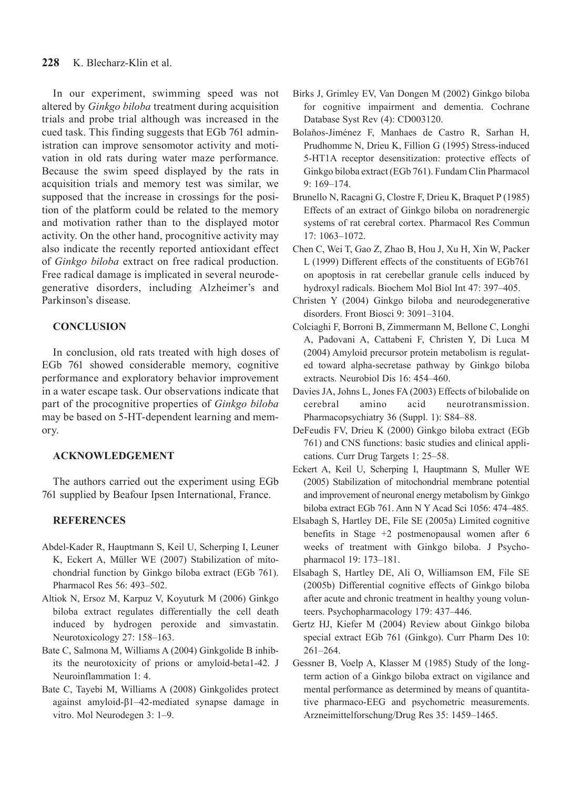In our experiment, swimming speed was not altered by *Ginkgo biloba* treatment during acquisition trials and probe trial although was increased in the cued task. This finding suggests that EGb 761 administration can improve sensomotor activity and motivation in old rats during water maze performance. Because the swim speed displayed by the rats in acquisition trials and memory test was similar, we supposed that the increase in crossings for the position of the platform could be related to the memory and motivation rather than to the displayed motor activity. On the other hand, procognitive activity may also indicate the recently reported antioxidant effect of *Ginkgo biloba* extract on free radical production. Free radical damage is implicated in several neurodegenerative disorders, including Alzheimer's and Parkinson's disease.

# **CONCLUSION**

In conclusion, old rats treated with high doses of EGb 761 showed considerable memory, cognitive performance and exploratory behavior improvement in a water escape task. Our observations indicate that part of the procognitive properties of *Ginkgo biloba* may be based on 5-HT-dependent learning and memory.

# **ACKNOWLEDGEMENT**

The authors carried out the experiment using EGb 761 supplied by Beafour Ipsen International, France.

# **REFERENCES**

- Abdel-Kader R, Hauptmann S, Keil U, Scherping I, Leuner K, Eckert A, Müller WE (2007) Stabilization of mitochondrial function by Ginkgo biloba extract (EGb 761). Pharmacol Res 56: 493–502.
- Altiok N, Ersoz M, Karpuz V, Koyuturk M (2006) Ginkgo biloba extract regulates differentially the cell death induced by hydrogen peroxide and simvastatin. Neurotoxicology 27: 158–163.
- Bate C, Salmona M, Williams A (2004) Ginkgolide B inhibits the neurotoxicity of prions or amyloid-beta1-42. J Neuroinflammation 1: 4.
- Bate C, Tayebi M, Williams A (2008) Ginkgolides protect against amyloid-β1–42-mediated synapse damage in vitro. Mol Neurodegen 3: 1–9.
- Birks J, Grimley EV, Van Dongen M (2002) Ginkgo biloba for cognitive impairment and dementia. Cochrane Database Syst Rev (4): CD003120.
- Bolaňos-Jiménez F, Manhaes de Castro R, Sarhan H, Prudhomme N, Drieu K, Fillion G (1995) Stress-induced 5-HT1A receptor desensitization: protective effects of Ginkgo biloba extract (EGb 761). Fundam Clin Pharmacol 9: 169–174.
- Brunello N, Racagni G, Clostre F, Drieu K, Braquet P (1985) Effects of an extract of Ginkgo biloba on noradrenergic systems of rat cerebral cortex. Pharmacol Res Commun 17: 1063–1072.
- Chen C, Wei T, Gao Z, Zhao B, Hou J, Xu H, Xin W, Packer L (1999) Different effects of the constituents of EGb761 on apoptosis in rat cerebellar granule cells induced by hydroxyl radicals. Biochem Mol Biol Int 47: 397–405.
- Christen Y (2004) Ginkgo biloba and neurodegenerative disorders. Front Biosci 9: 3091–3104.
- Colciaghi F, Borroni B, Zimmermann M, Bellone C, Longhi A, Padovani A, Cattabeni F, Christen Y, Di Luca M (2004) Amyloid precursor protein metabolism is regulated toward alpha-secretase pathway by Ginkgo biloba extracts. Neurobiol Dis 16: 454–460.
- Davies JA, Johns L, Jones FA (2003) Effects of bilobalide on cerebral amino acid neurotransmission. Pharmacopsychiatry 36 (Suppl. 1): S84–88.
- DeFeudis FV, Drieu K (2000) Ginkgo biloba extract (EGb 761) and CNS functions: basic studies and clinical applications. Curr Drug Targets 1: 25–58.
- Eckert A, Keil U, Scherping I, Hauptmann S, Muller WE (2005) Stabilization of mitochondrial membrane potential and improvement of neuronal energy metabolism by Ginkgo biloba extract EGb 761. Ann N Y Acad Sci 1056: 474–485.
- Elsabagh S, Hartley DE, File SE (2005a) Limited cognitive benefits in Stage +2 postmenopausal women after 6 weeks of treatment with Ginkgo biloba. J Psychopharmacol 19: 173–181.
- Elsabagh S, Hartley DE, Ali O, Williamson EM, File SE (2005b) Differential cognitive effects of Ginkgo biloba after acute and chronic treatment in healthy young volunteers. Psychopharmacology 179: 437–446.
- Gertz HJ, Kiefer M (2004) Review about Ginkgo biloba special extract EGb 761 (Ginkgo). Curr Pharm Des 10: 261–264.
- Gessner B, Voelp A, Klasser M (1985) Study of the longterm action of a Ginkgo biloba extract on vigilance and mental performance as determined by means of quantitative pharmaco-EEG and psychometric measurements. Arzneimittelforschung/Drug Res 35: 1459–1465.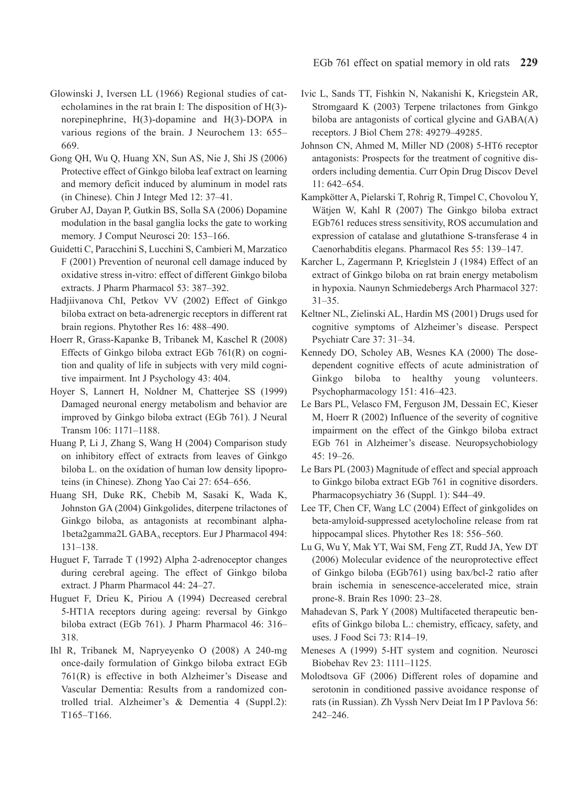- Glowinski J, Iversen LL (1966) Regional studies of catecholamines in the rat brain I: The disposition of H(3) norepinephrine, H(3)-dopamine and H(3)-DOPA in various regions of the brain. J Neurochem 13: 655– 669.
- Gong QH, Wu Q, Huang XN, Sun AS, Nie J, Shi JS (2006) Protective effect of Ginkgo biloba leaf extract on learning and memory deficit induced by aluminum in model rats (in Chinese). Chin J Integr Med 12: 37–41.
- Gruber AJ, Dayan P, Gutkin BS, Solla SA (2006) Dopamine modulation in the basal ganglia locks the gate to working memory. J Comput Neurosci 20: 153–166.
- Guidetti C, Paracchini S, Lucchini S, Cambieri M, Marzatico F (2001) Prevention of neuronal cell damage induced by oxidative stress in-vitro: effect of different Ginkgo biloba extracts. J Pharm Pharmacol 53: 387–392.
- Hadjiivanova ChI, Petkov VV (2002) Effect of Ginkgo biloba extract on beta-adrenergic receptors in different rat brain regions. Phytother Res 16: 488–490.
- Hoerr R, Grass-Kapanke B, Tribanek M, Kaschel R (2008) Effects of Ginkgo biloba extract EGb 761(R) on cognition and quality of life in subjects with very mild cognitive impairment. Int J Psychology 43: 404.
- Hoyer S, Lannert H, Noldner M, Chatterjee SS (1999) Damaged neuronal energy metabolism and behavior are improved by Ginkgo biloba extract (EGb 761). J Neural Transm 106: 1171–1188.
- Huang P, Li J, Zhang S, Wang H (2004) Comparison study on inhibitory effect of extracts from leaves of Ginkgo biloba L. on the oxidation of human low density lipoproteins (in Chinese). Zhong Yao Cai 27: 654–656.
- Huang SH, Duke RK, Chebib M, Sasaki K, Wada K, Johnston GA (2004) Ginkgolides, diterpene trilactones of Ginkgo biloba, as antagonists at recombinant alpha-1beta2gamma2L GABA<sub>A</sub> receptors. Eur J Pharmacol 494: 131–138.
- Huguet F, Tarrade T (1992) Alpha 2-adrenoceptor changes during cerebral ageing. The effect of Ginkgo biloba extract. J Pharm Pharmacol 44: 24–27.
- Huguet F, Drieu K, Piriou A (1994) Decreased cerebral 5-HT1A receptors during ageing: reversal by Ginkgo biloba extract (EGb 761). J Pharm Pharmacol 46: 316– 318.
- Ihl R, Tribanek M, Napryeyenko O (2008) A 240-mg once-daily formulation of Ginkgo biloba extract EGb 761(R) is effective in both Alzheimer's Disease and Vascular Dementia: Results from a randomized controlled trial. Alzheimer's & Dementia 4 (Suppl.2): T165–T166.
- Ivic L, Sands TT, Fishkin N, Nakanishi K, Kriegstein AR, Stromgaard K (2003) Terpene trilactones from Ginkgo biloba are antagonists of cortical glycine and GABA(A) receptors. J Biol Chem 278: 49279–49285.
- Johnson CN, Ahmed M, Miller ND (2008) 5-HT6 receptor antagonists: Prospects for the treatment of cognitive disorders including dementia. Curr Opin Drug Discov Devel 11: 642–654.
- Kampkötter A, Pielarski T, Rohrig R, Timpel C, Chovolou Y, Wätjen W, Kahl R (2007) The Ginkgo biloba extract EGb761 reduces stress sensitivity, ROS accumulation and expression of catalase and glutathione S-transferase 4 in Caenorhabditis elegans. Pharmacol Res 55: 139–147.
- Karcher L, Zagermann P, Krieglstein J (1984) Effect of an extract of Ginkgo biloba on rat brain energy metabolism in hypoxia. Naunyn Schmiedebergs Arch Pharmacol 327: 31–35.
- Keltner NL, Zielinski AL, Hardin MS (2001) Drugs used for cognitive symptoms of Alzheimer's disease. Perspect Psychiatr Care 37: 31–34.
- Kennedy DO, Scholey AB, Wesnes KA (2000) The dosedependent cognitive effects of acute administration of Ginkgo biloba to healthy young volunteers. Psychopharmacology 151: 416–423.
- Le Bars PL, Velasco FM, Ferguson JM, Dessain EC, Kieser M, Hoerr R (2002) Influence of the severity of cognitive impairment on the effect of the Ginkgo biloba extract EGb 761 in Alzheimer's disease. Neuropsychobiology 45: 19–26.
- Le Bars PL (2003) Magnitude of effect and special approach to Ginkgo biloba extract EGb 761 in cognitive disorders. Pharmacopsychiatry 36 (Suppl. 1): S44–49.
- Lee TF, Chen CF, Wang LC (2004) Effect of ginkgolides on beta-amyloid-suppressed acetylocholine release from rat hippocampal slices. Phytother Res 18: 556–560.
- Lu G, Wu Y, Mak YT, Wai SM, Feng ZT, Rudd JA, Yew DT (2006) Molecular evidence of the neuroprotective effect of Ginkgo biloba (EGb761) using bax/bcl-2 ratio after brain ischemia in senescence-accelerated mice, strain prone-8. Brain Res 1090: 23–28.
- Mahadevan S, Park Y (2008) Multifaceted therapeutic benefits of Ginkgo biloba L.: chemistry, efficacy, safety, and uses. J Food Sci 73: R14–19.
- Meneses A (1999) 5-HT system and cognition. Neurosci Biobehav Rev 23: 1111–1125.
- Molodtsova GF (2006) Different roles of dopamine and serotonin in conditioned passive avoidance response of rats (in Russian). Zh Vyssh Nerv Deiat Im I P Pavlova 56: 242–246.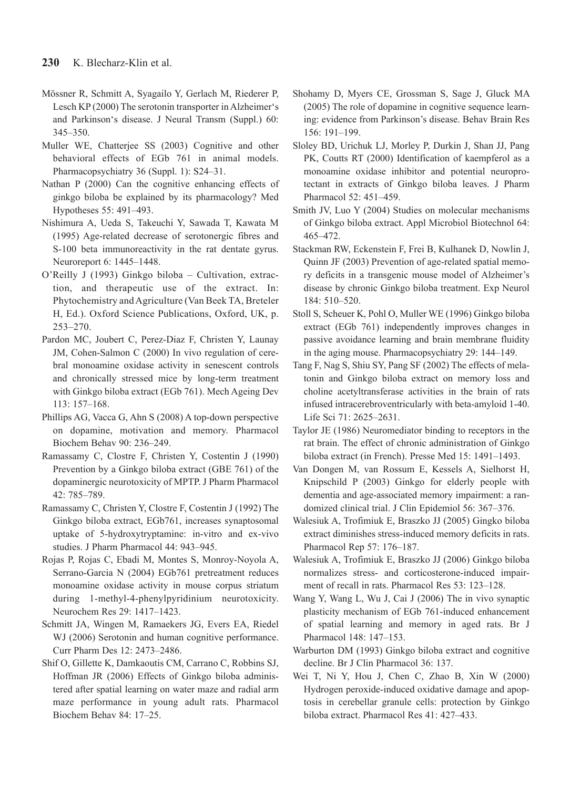- Mössner R, Schmitt A, Syagailo Y, Gerlach M, Riederer P, Lesch KP (2000) The serotonin transporter in Alzheimer's and Parkinson's disease. J Neural Transm (Suppl.) 60: 345–350.
- Muller WE, Chatterjee SS (2003) Cognitive and other behavioral effects of EGb 761 in animal models. Pharmacopsychiatry 36 (Suppl. 1): S24–31.
- Nathan P (2000) Can the cognitive enhancing effects of ginkgo biloba be explained by its pharmacology? Med Hypotheses 55: 491–493.
- Nishimura A, Ueda S, Takeuchi Y, Sawada T, Kawata M (1995) Age-related decrease of serotonergic fibres and S-100 beta immunoreactivity in the rat dentate gyrus. Neuroreport 6: 1445–1448.
- O'Reilly J (1993) Ginkgo biloba Cultivation, extraction, and therapeutic use of the extract. In: Phytochemistry and Agriculture (Van Beek TA, Breteler H, Ed.). Oxford Science Publications, Oxford, UK, p. 253–270.
- Pardon MC, Joubert C, Perez-Diaz F, Christen Y, Launay JM, Cohen-Salmon C (2000) In vivo regulation of cerebral monoamine oxidase activity in senescent controls and chronically stressed mice by long-term treatment with Ginkgo biloba extract (EGb 761). Mech Ageing Dev 113: 157–168.
- Phillips AG, Vacca G, Ahn S (2008) A top-down perspective on dopamine, motivation and memory. Pharmacol Biochem Behav 90: 236–249.
- Ramassamy C, Clostre F, Christen Y, Costentin J (1990) Prevention by a Ginkgo biloba extract (GBE 761) of the dopaminergic neurotoxicity of MPTP. J Pharm Pharmacol 42: 785–789.
- Ramassamy C, Christen Y, Clostre F, Costentin J (1992) The Ginkgo biloba extract, EGb761, increases synaptosomal uptake of 5-hydroxytryptamine: in-vitro and ex-vivo studies. J Pharm Pharmacol 44: 943–945.
- Rojas P, Rojas C, Ebadi M, Montes S, Monroy-Noyola A, Serrano-Garcia N (2004) EGb761 pretreatment reduces monoamine oxidase activity in mouse corpus striatum during 1-methyl-4-phenylpyridinium neurotoxicity. Neurochem Res 29: 1417–1423.
- Schmitt JA, Wingen M, Ramaekers JG, Evers EA, Riedel WJ (2006) Serotonin and human cognitive performance. Curr Pharm Des 12: 2473–2486.
- Shif O, Gillette K, Damkaoutis CM, Carrano C, Robbins SJ, Hoffman JR (2006) Effects of Ginkgo biloba administered after spatial learning on water maze and radial arm maze performance in young adult rats. Pharmacol Biochem Behav 84: 17–25.
- Shohamy D, Myers CE, Grossman S, Sage J, Gluck MA (2005) The role of dopamine in cognitive sequence learning: evidence from Parkinson's disease. Behav Brain Res 156: 191–199.
- Sloley BD, Urichuk LJ, Morley P, Durkin J, Shan JJ, Pang PK, Coutts RT (2000) Identification of kaempferol as a monoamine oxidase inhibitor and potential neuroprotectant in extracts of Ginkgo biloba leaves. J Pharm Pharmacol 52: 451–459.
- Smith JV, Luo Y (2004) Studies on molecular mechanisms of Ginkgo biloba extract. Appl Microbiol Biotechnol 64: 465–472.
- Stackman RW, Eckenstein F, Frei B, Kulhanek D, Nowlin J, Quinn JF (2003) Prevention of age-related spatial memory deficits in a transgenic mouse model of Alzheimer's disease by chronic Ginkgo biloba treatment. Exp Neurol 184: 510–520.
- Stoll S, Scheuer K, Pohl O, Muller WE (1996) Ginkgo biloba extract (EGb 761) independently improves changes in passive avoidance learning and brain membrane fluidity in the aging mouse. Pharmacopsychiatry 29: 144–149.
- Tang F, Nag S, Shiu SY, Pang SF (2002) The effects of melatonin and Ginkgo biloba extract on memory loss and choline acetyltransferase activities in the brain of rats infused intracerebroventricularly with beta-amyloid 1-40. Life Sci 71: 2625–2631.
- Taylor JE (1986) Neuromediator binding to receptors in the rat brain. The effect of chronic administration of Ginkgo biloba extract (in French). Presse Med 15: 1491–1493.
- Van Dongen M, van Rossum E, Kessels A, Sielhorst H, Knipschild P (2003) Ginkgo for elderly people with dementia and age-associated memory impairment: a randomized clinical trial. J Clin Epidemiol 56: 367–376.
- Walesiuk A, Trofimiuk E, Braszko JJ (2005) Gingko biloba extract diminishes stress-induced memory deficits in rats. Pharmacol Rep 57: 176–187.
- Walesiuk A, Trofimiuk E, Braszko JJ (2006) Ginkgo biloba normalizes stress- and corticosterone-induced impairment of recall in rats. Pharmacol Res 53: 123–128.
- Wang Y, Wang L, Wu J, Cai J (2006) The in vivo synaptic plasticity mechanism of EGb 761-induced enhancement of spatial learning and memory in aged rats. Br J Pharmacol 148: 147–153.
- Warburton DM (1993) Ginkgo biloba extract and cognitive decline. Br J Clin Pharmacol 36: 137.
- Wei T, Ni Y, Hou J, Chen C, Zhao B, Xin W (2000) Hydrogen peroxide-induced oxidative damage and apoptosis in cerebellar granule cells: protection by Ginkgo biloba extract. Pharmacol Res 41: 427–433.